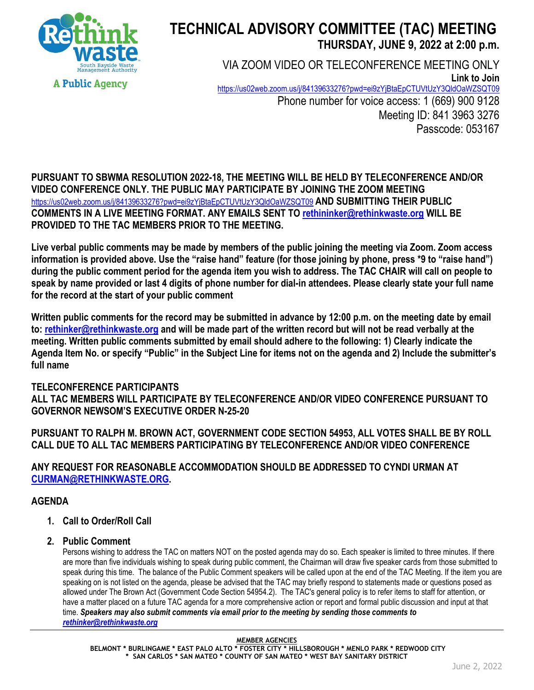

# **TECHNICAL ADVISORY COMMITTEE (TAC) MEETING THURSDAY, JUNE 9, 2022 at 2:00 p.m.**

VIA ZOOM VIDEO OR TELECONFERENCE MEETING ONLY **Link to Join** <https://us02web.zoom.us/j/84139633276?pwd=ei9zYjBtaEpCTUVtUzY3QldOaWZSQT09> Phone number for voice access: 1 (669) 900 9128 Meeting ID: 841 3963 3276 Passcode: 053167

**PURSUANT TO SBWMA RESOLUTION 2022-18, THE MEETING WILL BE HELD BY TELECONFERENCE AND/OR VIDEO CONFERENCE ONLY. THE PUBLIC MAY PARTICIPATE BY JOINING THE ZOOM MEETING**  <https://us02web.zoom.us/j/84139633276?pwd=ei9zYjBtaEpCTUVtUzY3QldOaWZSQT09> **AND SUBMITTING THEIR PUBLIC COMMENTS IN A LIVE MEETING FORMAT. ANY EMAILS SENT TO rethininker@rethinkwaste.org WILL BE PROVIDED TO THE TAC MEMBERS PRIOR TO THE MEETING.**

**Live verbal public comments may be made by members of the public joining the meeting via Zoom. Zoom access information is provided above. Use the "raise hand" feature (for those joining by phone, press \*9 to "raise hand") during the public comment period for the agenda item you wish to address. The TAC CHAIR will call on people to speak by name provided or last 4 digits of phone number for dial-in attendees. Please clearly state your full name for the record at the start of your public comment**

**Written public comments for the record may be submitted in advance by 12:00 p.m. on the meeting date by email to: rethinker@rethinkwaste.org and will be made part of the written record but will not be read verbally at the meeting. Written public comments submitted by email should adhere to the following: 1) Clearly indicate the Agenda Item No. or specify "Public" in the Subject Line for items not on the agenda and 2) Include the submitter's full name**

#### **TELECONFERENCE PARTICIPANTS ALL TAC MEMBERS WILL PARTICIPATE BY TELECONFERENCE AND/OR VIDEO CONFERENCE PURSUANT TO GOVERNOR NEWSOM'S EXECUTIVE ORDER N-25-20**

**PURSUANT TO RALPH M. BROWN ACT, GOVERNMENT CODE SECTION 54953, ALL VOTES SHALL BE BY ROLL CALL DUE TO ALL TAC MEMBERS PARTICIPATING BY TELECONFERENCE AND/OR VIDEO CONFERENCE**

**ANY REQUEST FOR REASONABLE ACCOMMODATION SHOULD BE ADDRESSED TO CYNDI URMAN AT [CURMAN@RETHINKWASTE.ORG.](mailto:CURMAN@RETHINKWASTE.ORG)** 

## **AGENDA**

- **1. Call to Order/Roll Call**
- **2. Public Comment**

Persons wishing to address the TAC on matters NOT on the posted agenda may do so. Each speaker is limited to three minutes. If there are more than five individuals wishing to speak during public comment, the Chairman will draw five speaker cards from those submitted to speak during this time. The balance of the Public Comment speakers will be called upon at the end of the TAC Meeting. If the item you are speaking on is not listed on the agenda, please be advised that the TAC may briefly respond to statements made or questions posed as allowed under The Brown Act (Government Code Section 54954.2). The TAC's general policy is to refer items to staff for attention, or have a matter placed on a future TAC agenda for a more comprehensive action or report and formal public discussion and input at that time. *Speakers may also submit comments via email prior to the meeting by sending those comments to [rethinker@rethinkwaste.org](mailto:rethinker@rethinkwaste.org)*

**MEMBER AGENCIES**

**BELMONT \* BURLINGAME \* EAST PALO ALTO \* FOSTER CITY \* HILLSBOROUGH \* MENLO PARK \* REDWOOD CITY \* SAN CARLOS \* SAN MATEO \* COUNTY OF SAN MATEO \* WEST BAY SANITARY DISTRICT**